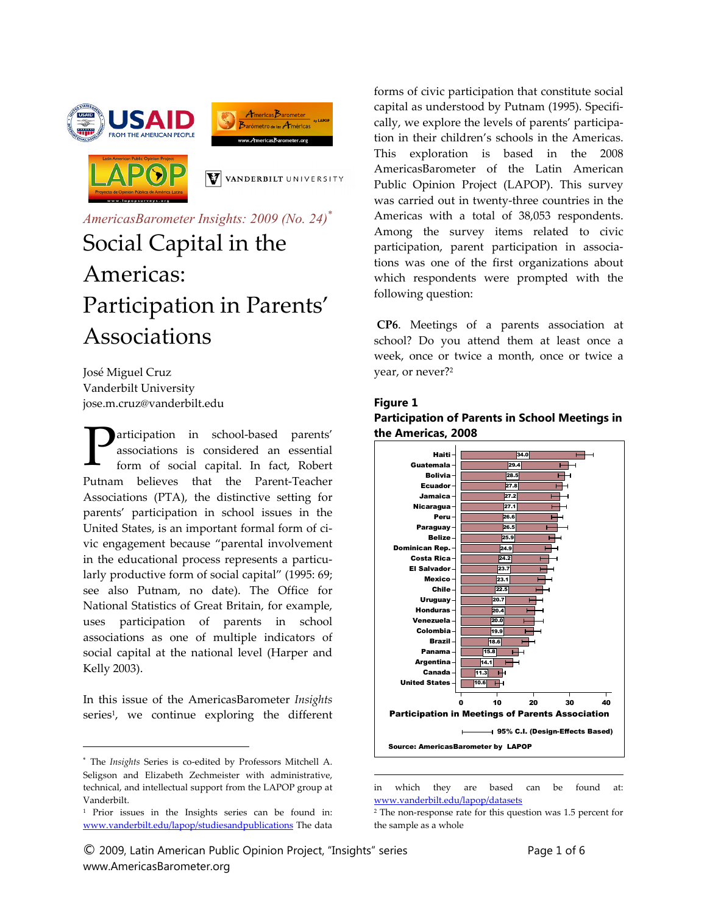





V VANDERBILT UNIVERSITY

# *AmericasBarometer Insights: 2009 (No. 24)\** Social Capital in the Americas: Participation in Parents' Associations

José Miguel Cruz Vanderbilt University jose.m.cruz@vanderbilt.edu

articipation in school‐based parents' associations is considered an essential form of social capital. In fact, Robert Putnam believes that the Parent‐Teacher Associations (PTA), the distinctive setting for parents' participation in school issues in the United States, is an important formal form of ci‐ vic engagement because "parental involvement in the educational process represents a particularly productive form of social capital" (1995: 69; see also Putnam, no date). The Office for National Statistics of Great Britain, for example, uses participation of parents in school associations as one of multiple indicators of social capital at the national level (Harper and Kelly 2003).  $\mathbf{P}$ 

In this issue of the AmericasBarometer *Insights* series<sup>1</sup>, we continue exploring the different

 $\overline{a}$ 

© 2009, Latin American Public Opinion Project, "Insights" series Page 1 of 6 www.AmericasBarometer.org

forms of civic participation that constitute social capital as understood by Putnam (1995). Specifi‐ cally, we explore the levels of parents' participa‐ tion in their children's schools in the Americas. This exploration is based in the 2008 AmericasBarometer of the Latin American Public Opinion Project (LAPOP). This survey was carried out in twenty‐three countries in the Americas with a total of 38,053 respondents. Among the survey items related to civic participation, parent participation in associa‐ tions was one of the first organizations about which respondents were prompted with the following question:

**CP6**. Meetings of a parents association at school? Do you attend them at least once a week, once or twice a month, once or twice a year, or never?2

#### **Figure 1**

 $\overline{a}$ 

#### **Participation of Parents in School Meetings in the Americas, 2008**



in which they are based can be found at: www.vanderbilt.edu/lapop/datasets

<sup>\*</sup> The *Insights* Series is co‐edited by Professors Mitchell A. Seligson and Elizabeth Zechmeister with administrative, technical, and intellectual support from the LAPOP group at Vanderbilt.

<sup>1</sup> Prior issues in the Insights series can be found in: www.vanderbilt.edu/lapop/studiesandpublications The data

<sup>2</sup> The non‐response rate for this question was 1.5 percent for the sample as a whole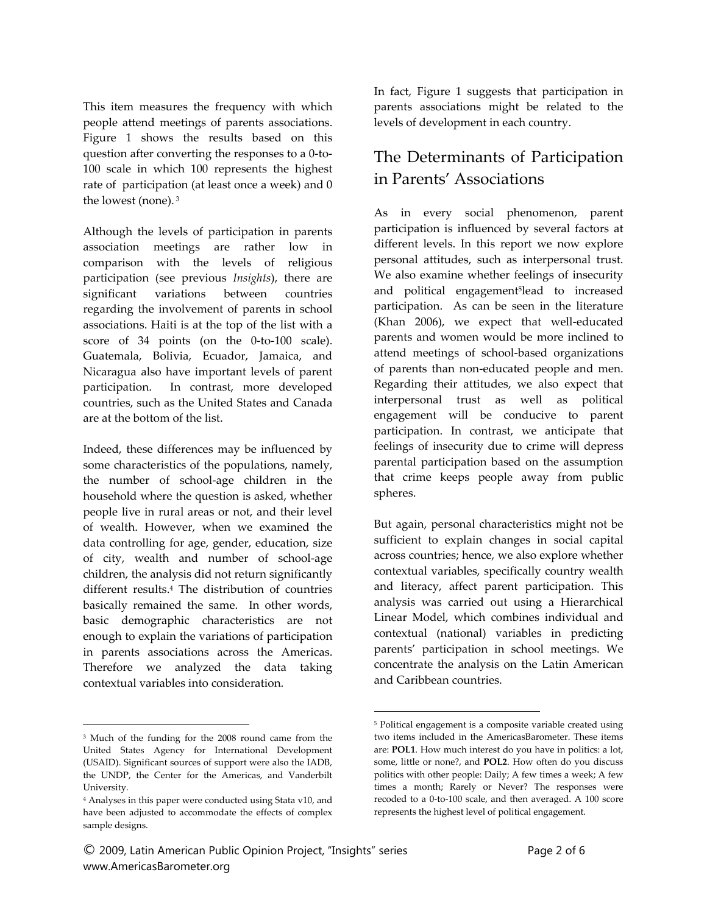This item measures the frequency with which people attend meetings of parents associations. Figure 1 shows the results based on this question after converting the responses to a 0‐to‐ 100 scale in which 100 represents the highest rate of participation (at least once a week) and 0 the lowest (none). <sup>3</sup>

Although the levels of participation in parents association meetings are rather low in comparison with the levels of religious participation (see previous *Insights*), there are significant variations between countries regarding the involvement of parents in school associations. Haiti is at the top of the list with a score of 34 points (on the 0-to-100 scale). Guatemala, Bolivia, Ecuador, Jamaica, and Nicaragua also have important levels of parent participation. In contrast, more developed countries, such as the United States and Canada are at the bottom of the list.

Indeed, these differences may be influenced by some characteristics of the populations, namely, the number of school‐age children in the household where the question is asked, whether people live in rural areas or not, and their level of wealth. However, when we examined the data controlling for age, gender, education, size of city, wealth and number of school‐age children, the analysis did not return significantly different results.4 The distribution of countries basically remained the same. In other words, basic demographic characteristics are not enough to explain the variations of participation in parents associations across the Americas. Therefore we analyzed the data taking contextual variables into consideration.

 $\overline{a}$ 

© 2009, Latin American Public Opinion Project, "Insights" series Page 2 of 6 www.AmericasBarometer.org

In fact, Figure 1 suggests that participation in parents associations might be related to the levels of development in each country.

## The Determinants of Participation in Parents' Associations

As in every social phenomenon, parent participation is influenced by several factors at different levels. In this report we now explore personal attitudes, such as interpersonal trust. We also examine whether feelings of insecurity and political engagement5lead to increased participation. As can be seen in the literature (Khan 2006), we expect that well-educated parents and women would be more inclined to attend meetings of school‐based organizations of parents than non‐educated people and men. Regarding their attitudes, we also expect that interpersonal trust as well as political engagement will be conducive to parent participation. In contrast, we anticipate that feelings of insecurity due to crime will depress parental participation based on the assumption that crime keeps people away from public spheres.

But again, personal characteristics might not be sufficient to explain changes in social capital across countries; hence, we also explore whether contextual variables, specifically country wealth and literacy, affect parent participation. This analysis was carried out using a Hierarchical Linear Model, which combines individual and contextual (national) variables in predicting parents' participation in school meetings. We concentrate the analysis on the Latin American and Caribbean countries.

 $\overline{a}$ 

<sup>3</sup> Much of the funding for the 2008 round came from the United States Agency for International Development (USAID). Significant sources of support were also the IADB, the UNDP, the Center for the Americas, and Vanderbilt University.

<sup>4</sup> Analyses in this paper were conducted using Stata v10, and have been adjusted to accommodate the effects of complex sample designs.

<sup>5</sup> Political engagement is a composite variable created using two items included in the AmericasBarometer. These items are: **POL1**. How much interest do you have in politics: a lot, some, little or none?, and **POL2**. How often do you discuss politics with other people: Daily; A few times a week; A few times a month; Rarely or Never? The responses were recoded to a 0‐to‐100 scale, and then averaged. A 100 score represents the highest level of political engagement.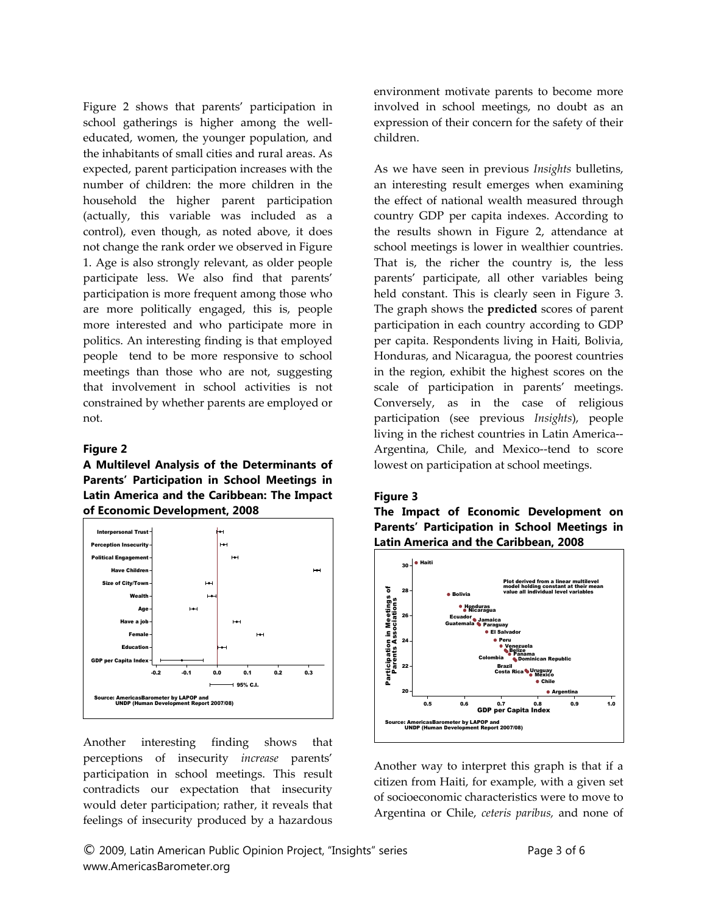Figure 2 shows that parents' participation in school gatherings is higher among the welleducated, women, the younger population, and the inhabitants of small cities and rural areas. As expected, parent participation increases with the number of children: the more children in the household the higher parent participation (actually, this variable was included as a control), even though, as noted above, it does not change the rank order we observed in Figure 1. Age is also strongly relevant, as older people participate less. We also find that parents' participation is more frequent among those who are more politically engaged, this is, people more interested and who participate more in politics. An interesting finding is that employed people tend to be more responsive to school meetings than those who are not, suggesting that involvement in school activities is not constrained by whether parents are employed or not.

#### **Figure 2**

**A Multilevel Analysis of the Determinants of Parents' Participation in School Meetings in Latin America and the Caribbean: The Impact of Economic Development, 2008** 



Another interesting finding shows that perceptions of insecurity *increase* parents' participation in school meetings. This result contradicts our expectation that insecurity would deter participation; rather, it reveals that feelings of insecurity produced by a hazardous environment motivate parents to become more involved in school meetings, no doubt as an expression of their concern for the safety of their children.

As we have seen in previous *Insights* bulletins, an interesting result emerges when examining the effect of national wealth measured through country GDP per capita indexes. According to the results shown in Figure 2, attendance at school meetings is lower in wealthier countries. That is, the richer the country is, the less parents' participate, all other variables being held constant. This is clearly seen in Figure 3. The graph shows the **predicted** scores of parent participation in each country according to GDP per capita. Respondents living in Haiti, Bolivia, Honduras, and Nicaragua, the poorest countries in the region, exhibit the highest scores on the scale of participation in parents' meetings. Conversely, as in the case of religious participation (see previous *Insights*), people living in the richest countries in Latin America‐‐ Argentina, Chile, and Mexico--tend to score lowest on participation at school meetings.

#### **Figure 3**

**The Impact of Economic Development on Parents' Participation in School Meetings in Latin America and the Caribbean, 2008** 



Another way to interpret this graph is that if a citizen from Haiti, for example, with a given set of socioeconomic characteristics were to move to Argentina or Chile, *ceteris paribus,* and none of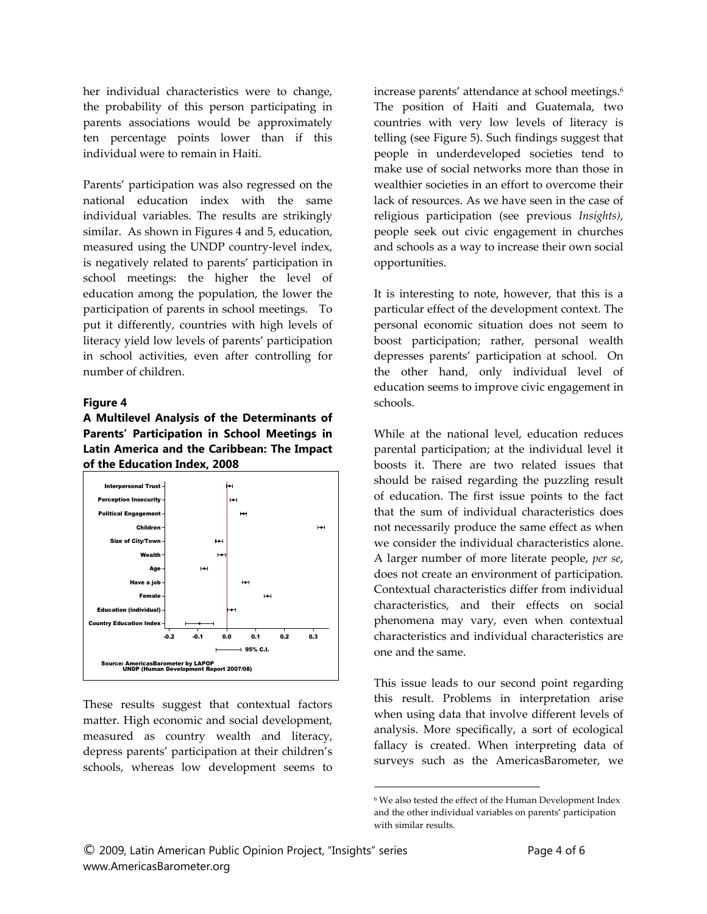her individual characteristics were to change, the probability of this person participating in parents associations would be approximately ten percentage points lower than if this individual were to remain in Haiti.

Parents' participation was also regressed on the national education index with the same individual variables. The results are strikingly similar. As shown in Figures 4 and 5, education, measured using the UNDP country‐level index, is negatively related to parents' participation in school meetings: the higher the level of education among the population, the lower the participation of parents in school meetings. To put it differently, countries with high levels of literacy yield low levels of parents' participation in school activities, even after controlling for number of children.

#### **Figure 4**

**A Multilevel Analysis of the Determinants of Parents' Participation in School Meetings in Latin America and the Caribbean: The Impact of the Education Index, 2008** 



These results suggest that contextual factors matter. High economic and social development, measured as country wealth and literacy, depress parents' participation at their children's schools, whereas low development seems to

increase parents' attendance at school meetings.6 The position of Haiti and Guatemala, two countries with very low levels of literacy is telling (see Figure 5). Such findings suggest that people in underdeveloped societies tend to make use of social networks more than those in wealthier societies in an effort to overcome their lack of resources. As we have seen in the case of religious participation (see previous *Insights)*, people seek out civic engagement in churches and schools as a way to increase their own social opportunities.

It is interesting to note, however, that this is a particular effect of the development context. The personal economic situation does not seem to boost participation; rather, personal wealth depresses parents' participation at school. On the other hand, only individual level of education seems to improve civic engagement in schools.

While at the national level, education reduces parental participation; at the individual level it boosts it. There are two related issues that should be raised regarding the puzzling result of education. The first issue points to the fact that the sum of individual characteristics does not necessarily produce the same effect as when we consider the individual characteristics alone. A larger number of more literate people, *per se*, does not create an environment of participation. Contextual characteristics differ from individual characteristics, and their effects on social phenomena may vary, even when contextual characteristics and individual characteristics are one and the same.

This issue leads to our second point regarding this result. Problems in interpretation arise when using data that involve different levels of analysis. More specifically, a sort of ecological fallacy is created. When interpreting data of surveys such as the AmericasBarometer, we

 $\overline{a}$ 

<sup>6</sup> We also tested the effect of the Human Development Index and the other individual variables on parents' participation with similar results.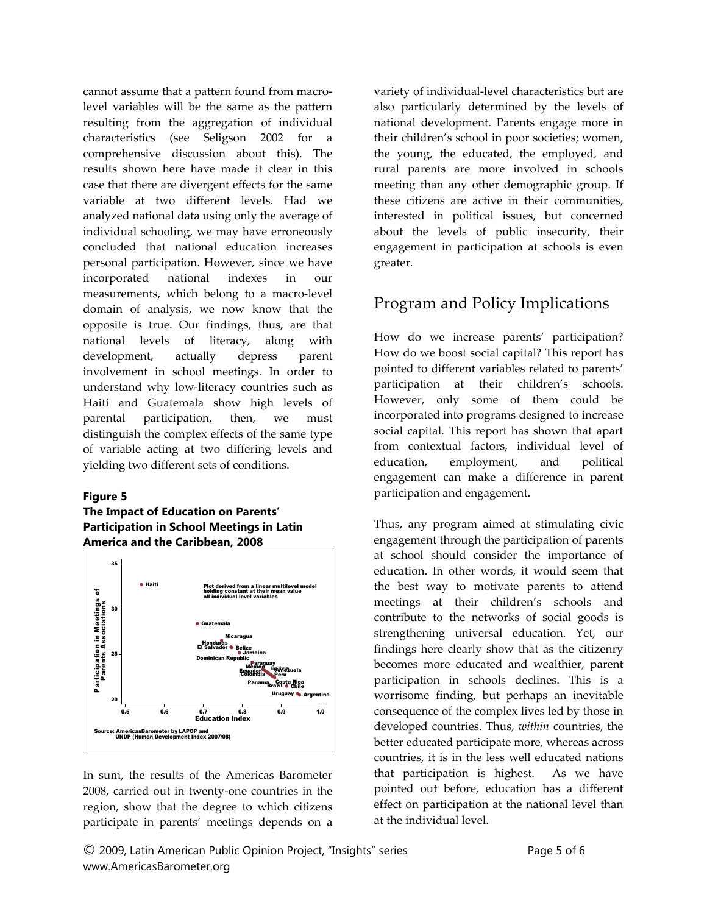cannot assume that a pattern found from macro‐ level variables will be the same as the pattern resulting from the aggregation of individual characteristics (see Seligson 2002 for a comprehensive discussion about this). The results shown here have made it clear in this case that there are divergent effects for the same variable at two different levels. Had we analyzed national data using only the average of individual schooling, we may have erroneously concluded that national education increases personal participation. However, since we have incorporated national indexes in our measurements, which belong to a macro‐level domain of analysis, we now know that the opposite is true. Our findings, thus, are that national levels of literacy, along with development, actually depress parent involvement in school meetings. In order to understand why low‐literacy countries such as Haiti and Guatemala show high levels of parental participation, then, we must distinguish the complex effects of the same type of variable acting at two differing levels and yielding two different sets of conditions.

#### **Figure 5**

#### **The Impact of Education on Parents' Participation in School Meetings in Latin America and the Caribbean, 2008**



In sum, the results of the Americas Barometer 2008, carried out in twenty‐one countries in the region, show that the degree to which citizens participate in parents' meetings depends on a variety of individual‐level characteristics but are also particularly determined by the levels of national development. Parents engage more in their children's school in poor societies; women, the young, the educated, the employed, and rural parents are more involved in schools meeting than any other demographic group. If these citizens are active in their communities, interested in political issues, but concerned about the levels of public insecurity, their engagement in participation at schools is even greater.

### Program and Policy Implications

How do we increase parents' participation? How do we boost social capital? This report has pointed to different variables related to parents' participation at their children's schools. However, only some of them could be incorporated into programs designed to increase social capital. This report has shown that apart from contextual factors, individual level of education, employment, and political engagement can make a difference in parent participation and engagement.

Thus, any program aimed at stimulating civic engagement through the participation of parents at school should consider the importance of education. In other words, it would seem that the best way to motivate parents to attend meetings at their children's schools and contribute to the networks of social goods is strengthening universal education. Yet, our findings here clearly show that as the citizenry becomes more educated and wealthier, parent participation in schools declines. This is a worrisome finding, but perhaps an inevitable consequence of the complex lives led by those in developed countries. Thus, *within* countries, the better educated participate more, whereas across countries, it is in the less well educated nations that participation is highest. As we have pointed out before, education has a different effect on participation at the national level than at the individual level.